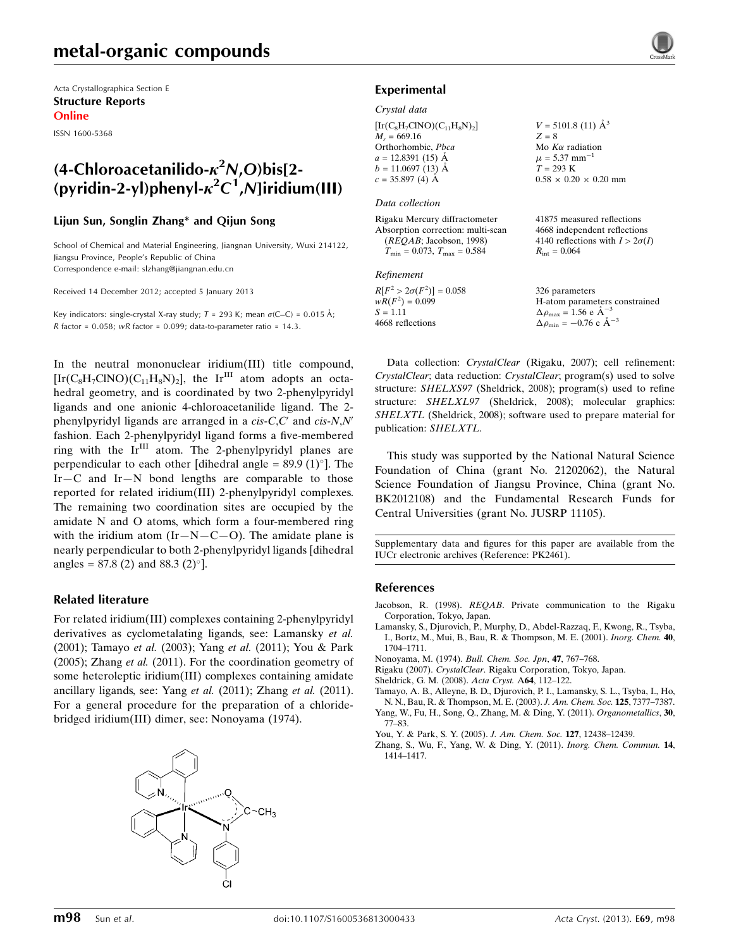Acta Crystallographica Section E Structure Reports Online

ISSN 1600-5368

## (4-Chloroacetanilido- $\kappa^2 N$ ,O)bis[2-(pyridin-2-yl)phenyl- $\kappa^2 C^1$ , N]iridium(III)

#### Lijun Sun, Songlin Zhang\* and Qijun Song

School of Chemical and Material Engineering, Jiangnan University, Wuxi 214122, Jiangsu Province, People's Republic of China Correspondence e-mail: [slzhang@jiangnan.edu.cn](https://scripts.iucr.org/cgi-bin/cr.cgi?rm=pdfbb&cnor=pk2461&bbid=BB9)

Received 14 December 2012; accepted 5 January 2013

Key indicators: single-crystal X-ray study;  $T = 293$  K; mean  $\sigma$ (C–C) = 0.015 Å; R factor =  $0.058$ ; wR factor =  $0.099$ ; data-to-parameter ratio = 14.3.

In the neutral mononuclear iridium(III) title compound,  $[Ir(C_8H_7CINO)(C_{11}H_8N)_2]$ , the Ir<sup>III</sup> atom adopts an octahedral geometry, and is coordinated by two 2-phenylpyridyl ligands and one anionic 4-chloroacetanilide ligand. The 2 phenylpyridyl ligands are arranged in a  $cis$ -C,C' and  $cis$ -N,N' fashion. Each 2-phenylpyridyl ligand forms a five-membered ring with the  $Ir<sup>III</sup>$  atom. The 2-phenylpyridyl planes are perpendicular to each other [dihedral angle =  $89.9 \,(1)^{\circ}$ ]. The Ir—C and Ir—N bond lengths are comparable to those reported for related iridium(III) 2-phenylpyridyl complexes. The remaining two coordination sites are occupied by the amidate N and O atoms, which form a four-membered ring with the iridium atom  $(Ir-N-C-O)$ . The amidate plane is nearly perpendicular to both 2-phenylpyridyl ligands [dihedral angles =  $87.8$  (2) and  $88.3$  (2)<sup>o</sup>].

### Related literature

For related iridium(III) complexes containing 2-phenylpyridyl derivatives as cyclometalating ligands, see: Lamansky et al. (2001); Tamayo et al. (2003); Yang et al. (2011); You & Park (2005); Zhang et al. (2011). For the coordination geometry of some heteroleptic iridium(III) complexes containing amidate ancillary ligands, see: Yang et al. (2011); Zhang et al. (2011). For a general procedure for the preparation of a chloridebridged iridium(III) dimer, see: Nonoyama (1974).





#### Experimental

#### Crystal data

| $[\text{Ir}(C_8H_7CINO)(C_{11}H_8N)_2]$ |  |
|-----------------------------------------|--|
| $M_r = 669.16$                          |  |
| Orthorhombic, Pbca                      |  |
| $a = 12.8391(15)$ Å                     |  |
| $b = 11.0697(13)$ Å                     |  |
| $c = 35.897(4)$ Å                       |  |

#### Data collection

Refinement

 $S = 1.11$ 4668 reflections

 $R[F^2 > 2\sigma(F^2)] = 0.058$ <br>  $wR(F^2) = 0.099$ 

| Rigaku Mercury diffractometer           |
|-----------------------------------------|
| Absorption correction: multi-scan       |
| (REQAB; Jacobson, 1998)                 |
| $T_{\min} = 0.073$ , $T_{\max} = 0.584$ |

 $Z = 8$ Mo  $K\alpha$  radiation  $\mu = 5.37$  mm<sup>-1</sup>  $T = 293 \text{ K}$  $0.58 \times 0.20 \times 0.20$  mm

 $V = 5101.8$  (11)  $\AA^3$ 

41875 measured reflections 4668 independent reflections 4140 reflections with  $I > 2\sigma(I)$  $R_{\text{int}} = 0.064$ 

326 parameters H-atom parameters constrained  $\Delta \rho_{\text{max}} = 1.56 \text{ e A}^{-3}$  $\Delta \rho_{\rm min} = -0.76 \text{ e } \text{\AA}^{-3}$ 

Data collection: CrystalClear (Rigaku, 2007); cell refinement: CrystalClear; data reduction: CrystalClear; program(s) used to solve structure: SHELXS97 (Sheldrick, 2008); program(s) used to refine structure: SHELXL97 (Sheldrick, 2008); molecular graphics: SHELXTL (Sheldrick, 2008); software used to prepare material for publication: SHELXTL.

This study was supported by the National Natural Science Foundation of China (grant No. 21202062), the Natural Science Foundation of Jiangsu Province, China (grant No. BK2012108) and the Fundamental Research Funds for Central Universities (grant No. JUSRP 11105).

Supplementary data and figures for this paper are available from the IUCr electronic archives (Reference: PK2461).

#### References

- Jacobson, R. (1998). REQAB[. Private communication to the Rigaku](https://scripts.iucr.org/cgi-bin/cr.cgi?rm=pdfbb&cnor=pk2461&bbid=BB1) [Corporation, Tokyo, Japan.](https://scripts.iucr.org/cgi-bin/cr.cgi?rm=pdfbb&cnor=pk2461&bbid=BB1)
- [Lamansky, S., Djurovich, P., Murphy, D., Abdel-Razzaq, F., Kwong, R., Tsyba,](https://scripts.iucr.org/cgi-bin/cr.cgi?rm=pdfbb&cnor=pk2461&bbid=BB2) [I., Bortz, M., Mui, B., Bau, R. & Thompson, M. E. \(2001\).](https://scripts.iucr.org/cgi-bin/cr.cgi?rm=pdfbb&cnor=pk2461&bbid=BB2) Inorg. Chem. 40, [1704–1711.](https://scripts.iucr.org/cgi-bin/cr.cgi?rm=pdfbb&cnor=pk2461&bbid=BB2)
- [Nonoyama, M. \(1974\).](https://scripts.iucr.org/cgi-bin/cr.cgi?rm=pdfbb&cnor=pk2461&bbid=BB3) Bull. Chem. Soc. Jpn, 47, 767–768.
- Rigaku (2007). CrystalClear[. Rigaku Corporation, Tokyo, Japan.](https://scripts.iucr.org/cgi-bin/cr.cgi?rm=pdfbb&cnor=pk2461&bbid=BB4)
- [Sheldrick, G. M. \(2008\).](https://scripts.iucr.org/cgi-bin/cr.cgi?rm=pdfbb&cnor=pk2461&bbid=BB5) Acta Cryst. A64, 112–122.
- [Tamayo, A. B., Alleyne, B. D., Djurovich, P. I., Lamansky, S. L., Tsyba, I., Ho,](https://scripts.iucr.org/cgi-bin/cr.cgi?rm=pdfbb&cnor=pk2461&bbid=BB6) [N. N., Bau, R. & Thompson, M. E. \(2003\).](https://scripts.iucr.org/cgi-bin/cr.cgi?rm=pdfbb&cnor=pk2461&bbid=BB6) J. Am. Chem. Soc. 125, 7377–7387.
- [Yang, W., Fu, H., Song, Q., Zhang, M. & Ding, Y. \(2011\).](https://scripts.iucr.org/cgi-bin/cr.cgi?rm=pdfbb&cnor=pk2461&bbid=BB7) Organometallics, 30, [77–83.](https://scripts.iucr.org/cgi-bin/cr.cgi?rm=pdfbb&cnor=pk2461&bbid=BB7)
- [You, Y. & Park, S. Y. \(2005\).](https://scripts.iucr.org/cgi-bin/cr.cgi?rm=pdfbb&cnor=pk2461&bbid=BB8) J. Am. Chem. Soc. 127, 12438-12439.
- [Zhang, S., Wu, F., Yang, W. & Ding, Y. \(2011\).](https://scripts.iucr.org/cgi-bin/cr.cgi?rm=pdfbb&cnor=pk2461&bbid=BB9) Inorg. Chem. Commun. 14, [1414–1417.](https://scripts.iucr.org/cgi-bin/cr.cgi?rm=pdfbb&cnor=pk2461&bbid=BB9)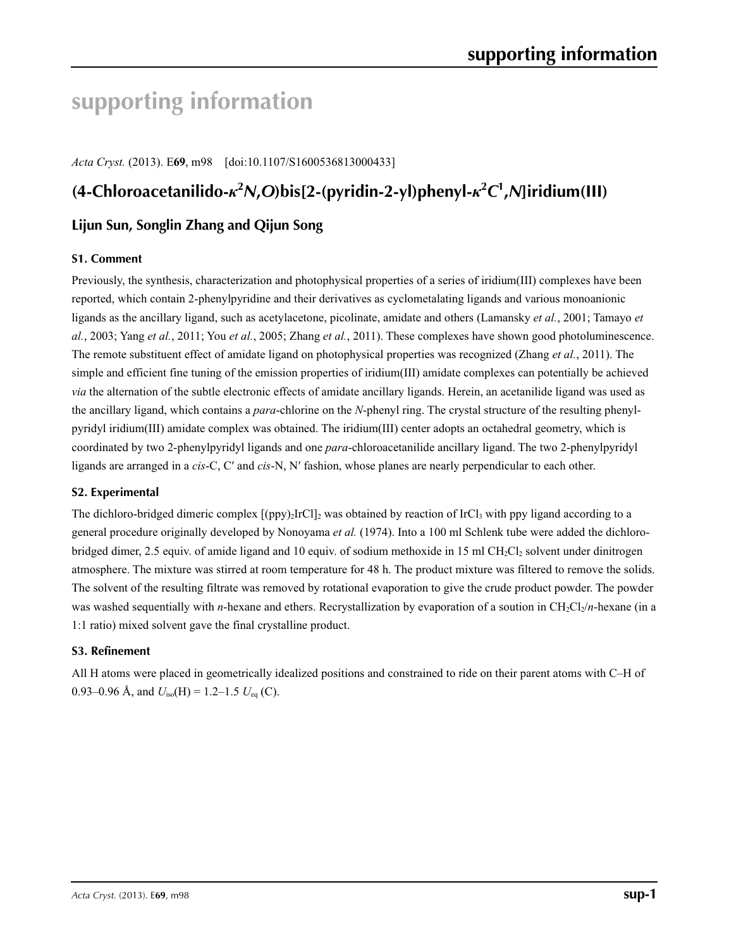# **supporting information**

*Acta Cryst.* (2013). E**69**, m98 [doi:10.1107/S1600536813000433]

# **(4-Chloroacetanilido-***κ***<sup>2</sup>** *N***,***O***)bis[2-(pyridin-2-yl)phenyl-***κ***<sup>2</sup>** *C***1 ,***N***]iridium(III)**

## **Lijun Sun, Songlin Zhang and Qijun Song**

## **S1. Comment**

Previously, the synthesis, characterization and photophysical properties of a series of iridium(III) complexes have been reported, which contain 2-phenylpyridine and their derivatives as cyclometalating ligands and various monoanionic ligands as the ancillary ligand, such as acetylacetone, picolinate, amidate and others (Lamansky *et al.*, 2001; Tamayo *et al.*, 2003; Yang *et al.*, 2011; You *et al.*, 2005; Zhang *et al.*, 2011). These complexes have shown good photoluminescence. The remote substituent effect of amidate ligand on photophysical properties was recognized (Zhang *et al.*, 2011). The simple and efficient fine tuning of the emission properties of iridium(III) amidate complexes can potentially be achieved *via* the alternation of the subtle electronic effects of amidate ancillary ligands. Herein, an acetanilide ligand was used as the ancillary ligand, which contains a *para*-chlorine on the *N*-phenyl ring. The crystal structure of the resulting phenylpyridyl iridium(III) amidate complex was obtained. The iridium(III) center adopts an octahedral geometry, which is coordinated by two 2-phenylpyridyl ligands and one *para*-chloroacetanilide ancillary ligand. The two 2-phenylpyridyl ligands are arranged in a *cis*-C, C′ and *cis*-N, N′ fashion, whose planes are nearly perpendicular to each other.

## **S2. Experimental**

The dichloro-bridged dimeric complex  $[(ppy)_2IrCl]_2$  was obtained by reaction of IrCl<sub>3</sub> with ppy ligand according to a general procedure originally developed by Nonoyama *et al.* (1974). Into a 100 ml Schlenk tube were added the dichlorobridged dimer, 2.5 equiv. of amide ligand and 10 equiv. of sodium methoxide in 15 ml CH<sub>2</sub>Cl<sub>2</sub> solvent under dinitrogen atmosphere. The mixture was stirred at room temperature for 48 h. The product mixture was filtered to remove the solids. The solvent of the resulting filtrate was removed by rotational evaporation to give the crude product powder. The powder was washed sequentially with *n*-hexane and ethers. Recrystallization by evaporation of a soution in CH<sub>2</sub>Cl<sub>2</sub>/*n*-hexane (in a 1:1 ratio) mixed solvent gave the final crystalline product.

## **S3. Refinement**

All H atoms were placed in geometrically idealized positions and constrained to ride on their parent atoms with C–H of 0.93–0.96 Å, and  $U_{iso}(H) = 1.2$ –1.5  $U_{eq}(C)$ .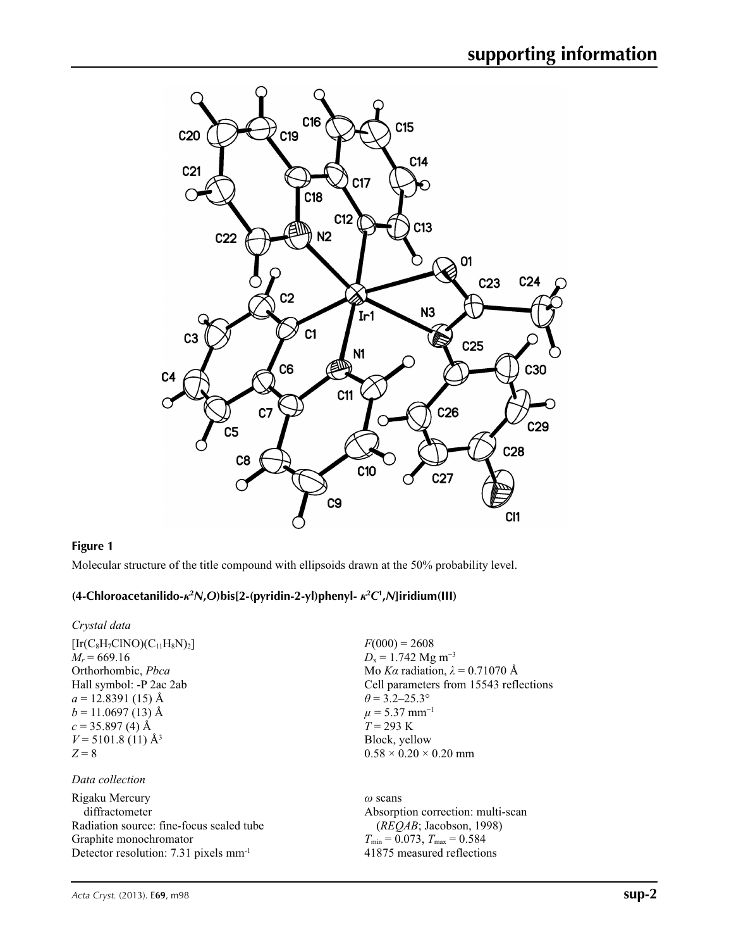

## **Figure 1**

Molecular structure of the title compound with ellipsoids drawn at the 50% probability level.

## **(4-Chloroacetanilido-***κ***<sup>2</sup>** *N***,***O***)bis[2-(pyridin-2-yl)phenyl-** *κ***<sup>2</sup>** *C***1 ,***N***]iridium(III)**

*Crystal data*

| $[Ir(C_8H_7CINO)(C_{11}H_8N)_2]$ |
|----------------------------------|
| $M_r = 669.16$                   |
| Orthorhombic, Pbca               |
| Hall symbol: -P 2ac 2ab          |
| $a = 12.8391(15)$ Å              |
| $b = 11.0697(13)$ Å              |
| $c = 35.897(4)$ Å                |
| $V = 5101.8(11)$ Å <sup>3</sup>  |
| $Z = 8$                          |
|                                  |

### *Data collection*

Rigaku Mercury diffractometer Radiation source: fine-focus sealed tube Graphite monochromator Detector resolution: 7.31 pixels mm-1

 $F(000) = 2608$  $D_x = 1.742$  Mg m<sup>-3</sup> Mo *Kα* radiation,  $\lambda = 0.71070$  Å Cell parameters from 15543 reflections  $\theta$  = 3.2–25.3°  $\mu$  = 5.37 mm<sup>-1</sup> *T* = 293 K Block, yellow  $0.58 \times 0.20 \times 0.20$  mm

*ω* scans Absorption correction: multi-scan (*REQAB*; Jacobson, 1998)  $T_{\text{min}} = 0.073$ ,  $T_{\text{max}} = 0.584$ 41875 measured reflections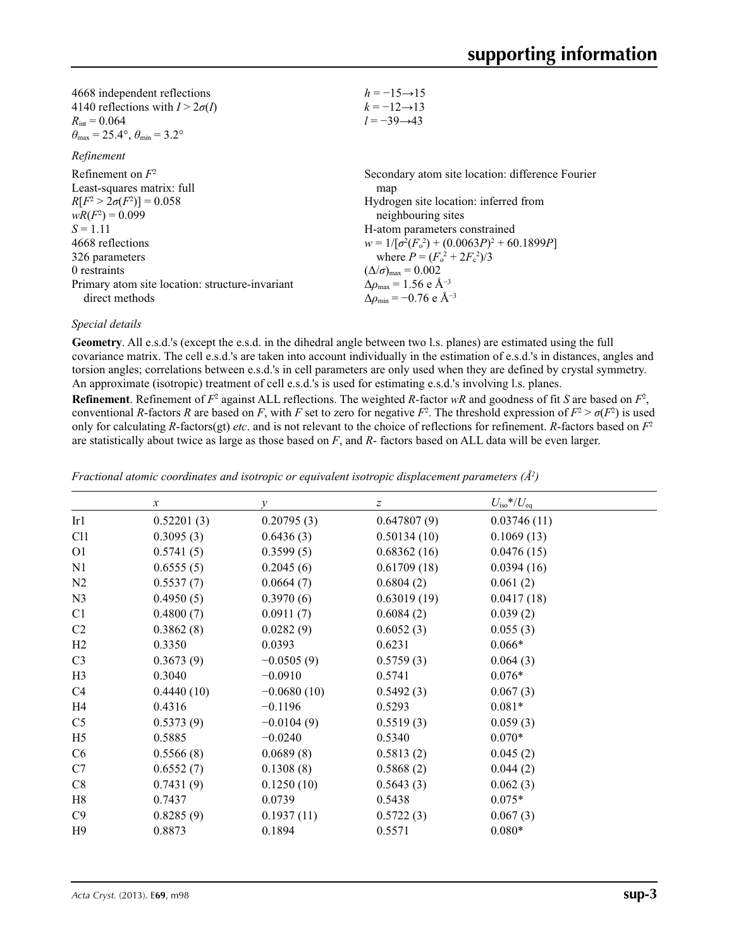| 4668 independent reflections                                            | $h = -15 \rightarrow 15$                                    |
|-------------------------------------------------------------------------|-------------------------------------------------------------|
| 4140 reflections with $I > 2\sigma(I)$                                  | $k = -12 \rightarrow 13$                                    |
| $R_{\text{int}} = 0.064$                                                | $l = -39 \rightarrow 43$                                    |
| $\theta_{\text{max}} = 25.4^{\circ}, \theta_{\text{min}} = 3.2^{\circ}$ |                                                             |
| Refinement                                                              |                                                             |
| Refinement on $F^2$                                                     | Secondary atom site location: difference Fourier            |
| Least-squares matrix: full                                              | map                                                         |
| $R[F^2 > 2\sigma(F^2)] = 0.058$                                         | Hydrogen site location: inferred from                       |
| $wR(F^2) = 0.099$                                                       | neighbouring sites                                          |
| $S = 1.11$                                                              | H-atom parameters constrained                               |
| 4668 reflections                                                        | $w = 1/[\sigma^2(F_0^2) + (0.0063P)^2 + 60.1899P]$          |
| 326 parameters                                                          | where $P = (F_0^2 + 2F_c^2)/3$                              |
| 0 restraints                                                            | $(\Delta/\sigma)_{\text{max}} = 0.002$                      |
| Primary atom site location: structure-invariant                         | $\Delta\rho_{\text{max}} = 1.56 \text{ e } \text{\AA}^{-3}$ |
| direct methods                                                          | $\Delta \rho_{\rm min} = -0.76 \text{ e } \text{\AA}^{-3}$  |

## *Special details*

**Geometry**. All e.s.d.'s (except the e.s.d. in the dihedral angle between two l.s. planes) are estimated using the full covariance matrix. The cell e.s.d.'s are taken into account individually in the estimation of e.s.d.'s in distances, angles and torsion angles; correlations between e.s.d.'s in cell parameters are only used when they are defined by crystal symmetry. An approximate (isotropic) treatment of cell e.s.d.'s is used for estimating e.s.d.'s involving l.s. planes.

**Refinement**. Refinement of  $F^2$  against ALL reflections. The weighted R-factor wR and goodness of fit *S* are based on  $F^2$ , conventional *R*-factors *R* are based on *F*, with *F* set to zero for negative  $F^2$ . The threshold expression of  $F^2 > \sigma(F^2)$  is used only for calculating *R*-factors(gt) *etc*. and is not relevant to the choice of reflections for refinement. *R*-factors based on *F*<sup>2</sup> are statistically about twice as large as those based on *F*, and *R*- factors based on ALL data will be even larger.

|                | $\boldsymbol{x}$ | у             | Z           | $U_{\rm iso}$ */ $U_{\rm eq}$ |
|----------------|------------------|---------------|-------------|-------------------------------|
| Ir1            | 0.52201(3)       | 0.20795(3)    | 0.647807(9) | 0.03746(11)                   |
| C11            | 0.3095(3)        | 0.6436(3)     | 0.50134(10) | 0.1069(13)                    |
| O <sub>1</sub> | 0.5741(5)        | 0.3599(5)     | 0.68362(16) | 0.0476(15)                    |
| N1             | 0.6555(5)        | 0.2045(6)     | 0.61709(18) | 0.0394(16)                    |
| N <sub>2</sub> | 0.5537(7)        | 0.0664(7)     | 0.6804(2)   | 0.061(2)                      |
| N <sub>3</sub> | 0.4950(5)        | 0.3970(6)     | 0.63019(19) | 0.0417(18)                    |
| C1             | 0.4800(7)        | 0.0911(7)     | 0.6084(2)   | 0.039(2)                      |
| C <sub>2</sub> | 0.3862(8)        | 0.0282(9)     | 0.6052(3)   | 0.055(3)                      |
| H2             | 0.3350           | 0.0393        | 0.6231      | $0.066*$                      |
| C <sub>3</sub> | 0.3673(9)        | $-0.0505(9)$  | 0.5759(3)   | 0.064(3)                      |
| H <sub>3</sub> | 0.3040           | $-0.0910$     | 0.5741      | $0.076*$                      |
| C4             | 0.4440(10)       | $-0.0680(10)$ | 0.5492(3)   | 0.067(3)                      |
| H4             | 0.4316           | $-0.1196$     | 0.5293      | $0.081*$                      |
| C <sub>5</sub> | 0.5373(9)        | $-0.0104(9)$  | 0.5519(3)   | 0.059(3)                      |
| H <sub>5</sub> | 0.5885           | $-0.0240$     | 0.5340      | $0.070*$                      |
| C6             | 0.5566(8)        | 0.0689(8)     | 0.5813(2)   | 0.045(2)                      |
| C7             | 0.6552(7)        | 0.1308(8)     | 0.5868(2)   | 0.044(2)                      |
| C8             | 0.7431(9)        | 0.1250(10)    | 0.5643(3)   | 0.062(3)                      |
| H8             | 0.7437           | 0.0739        | 0.5438      | $0.075*$                      |
| C9             | 0.8285(9)        | 0.1937(11)    | 0.5722(3)   | 0.067(3)                      |
| H9             | 0.8873           | 0.1894        | 0.5571      | $0.080*$                      |

*Fractional atomic coordinates and isotropic or equivalent isotropic displacement parameters (Å2 )*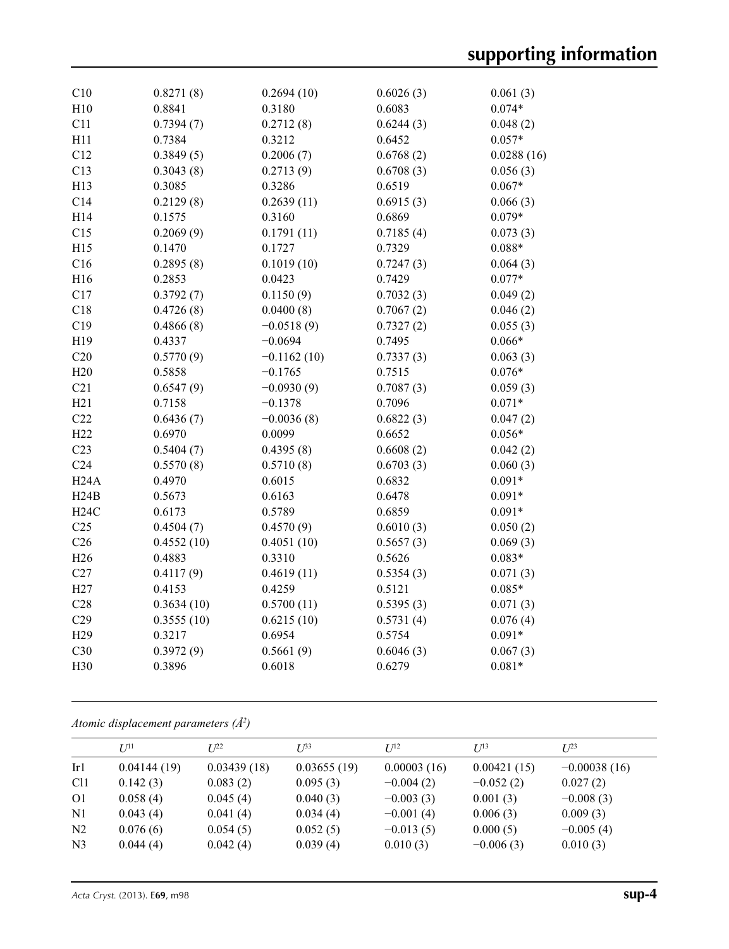| C10             | 0.8271(8)  | 0.2694(10)    | 0.6026(3) | 0.061(3)   |
|-----------------|------------|---------------|-----------|------------|
| H10             | 0.8841     | 0.3180        | 0.6083    | $0.074*$   |
| C11             | 0.7394(7)  | 0.2712(8)     | 0.6244(3) | 0.048(2)   |
| H11             | 0.7384     | 0.3212        | 0.6452    | $0.057*$   |
| C12             | 0.3849(5)  | 0.2006(7)     | 0.6768(2) | 0.0288(16) |
| C13             | 0.3043(8)  | 0.2713(9)     | 0.6708(3) | 0.056(3)   |
| H13             | 0.3085     | 0.3286        | 0.6519    | $0.067*$   |
| C14             | 0.2129(8)  | 0.2639(11)    | 0.6915(3) | 0.066(3)   |
| H14             | 0.1575     | 0.3160        | 0.6869    | $0.079*$   |
| C15             | 0.2069(9)  | 0.1791(11)    | 0.7185(4) | 0.073(3)   |
| H15             | 0.1470     | 0.1727        | 0.7329    | $0.088*$   |
| C16             | 0.2895(8)  | 0.1019(10)    | 0.7247(3) | 0.064(3)   |
| H16             | 0.2853     | 0.0423        | 0.7429    | $0.077*$   |
| C17             | 0.3792(7)  | 0.1150(9)     | 0.7032(3) | 0.049(2)   |
| C18             | 0.4726(8)  | 0.0400(8)     | 0.7067(2) | 0.046(2)   |
| C19             | 0.4866(8)  | $-0.0518(9)$  | 0.7327(2) | 0.055(3)   |
| H19             | 0.4337     | $-0.0694$     | 0.7495    | $0.066*$   |
| C20             | 0.5770(9)  | $-0.1162(10)$ | 0.7337(3) | 0.063(3)   |
| H20             | 0.5858     | $-0.1765$     | 0.7515    | $0.076*$   |
| C21             | 0.6547(9)  | $-0.0930(9)$  | 0.7087(3) | 0.059(3)   |
| H21             | 0.7158     | $-0.1378$     | 0.7096    | $0.071*$   |
| C22             | 0.6436(7)  | $-0.0036(8)$  | 0.6822(3) | 0.047(2)   |
| H <sub>22</sub> | 0.6970     | 0.0099        | 0.6652    | $0.056*$   |
| C23             | 0.5404(7)  | 0.4395(8)     | 0.6608(2) | 0.042(2)   |
| C <sub>24</sub> | 0.5570(8)  | 0.5710(8)     | 0.6703(3) | 0.060(3)   |
| H24A            | 0.4970     | 0.6015        | 0.6832    | $0.091*$   |
| H24B            | 0.5673     | 0.6163        | 0.6478    | $0.091*$   |
| H24C            | 0.6173     | 0.5789        | 0.6859    | $0.091*$   |
| C <sub>25</sub> | 0.4504(7)  | 0.4570(9)     | 0.6010(3) | 0.050(2)   |
| C <sub>26</sub> | 0.4552(10) | 0.4051(10)    | 0.5657(3) | 0.069(3)   |
| H <sub>26</sub> | 0.4883     | 0.3310        | 0.5626    | $0.083*$   |
| C27             | 0.4117(9)  | 0.4619(11)    | 0.5354(3) | 0.071(3)   |
| H27             | 0.4153     | 0.4259        | 0.5121    | $0.085*$   |
| C28             | 0.3634(10) | 0.5700(11)    | 0.5395(3) | 0.071(3)   |
| C29             | 0.3555(10) | 0.6215(10)    | 0.5731(4) | 0.076(4)   |
| H <sub>29</sub> | 0.3217     | 0.6954        | 0.5754    | $0.091*$   |
| C30             | 0.3972(9)  | 0.5661(9)     | 0.6046(3) | 0.067(3)   |
| H30             | 0.3896     | 0.6018        | 0.6279    | $0.081*$   |
|                 |            |               |           |            |

*Atomic displacement parameters (Å2 )*

|                 | $U^{11}$    | $I^{p2}$    | $I^{\beta 3}$ | $I^{12}$    | $U^{13}$    | $L^{23}$       |
|-----------------|-------------|-------------|---------------|-------------|-------------|----------------|
| Ir1             | 0.04144(19) | 0.03439(18) | 0.03655(19)   | 0.00003(16) | 0.00421(15) | $-0.00038(16)$ |
| C <sub>11</sub> | 0.142(3)    | 0.083(2)    | 0.095(3)      | $-0.004(2)$ | $-0.052(2)$ | 0.027(2)       |
| O <sub>1</sub>  | 0.058(4)    | 0.045(4)    | 0.040(3)      | $-0.003(3)$ | 0.001(3)    | $-0.008(3)$    |
| N <sub>1</sub>  | 0.043(4)    | 0.041(4)    | 0.034(4)      | $-0.001(4)$ | 0.006(3)    | 0.009(3)       |
| N <sub>2</sub>  | 0.076(6)    | 0.054(5)    | 0.052(5)      | $-0.013(5)$ | 0.000(5)    | $-0.005(4)$    |
| N <sub>3</sub>  | 0.044(4)    | 0.042(4)    | 0.039(4)      | 0.010(3)    | $-0.006(3)$ | 0.010(3)       |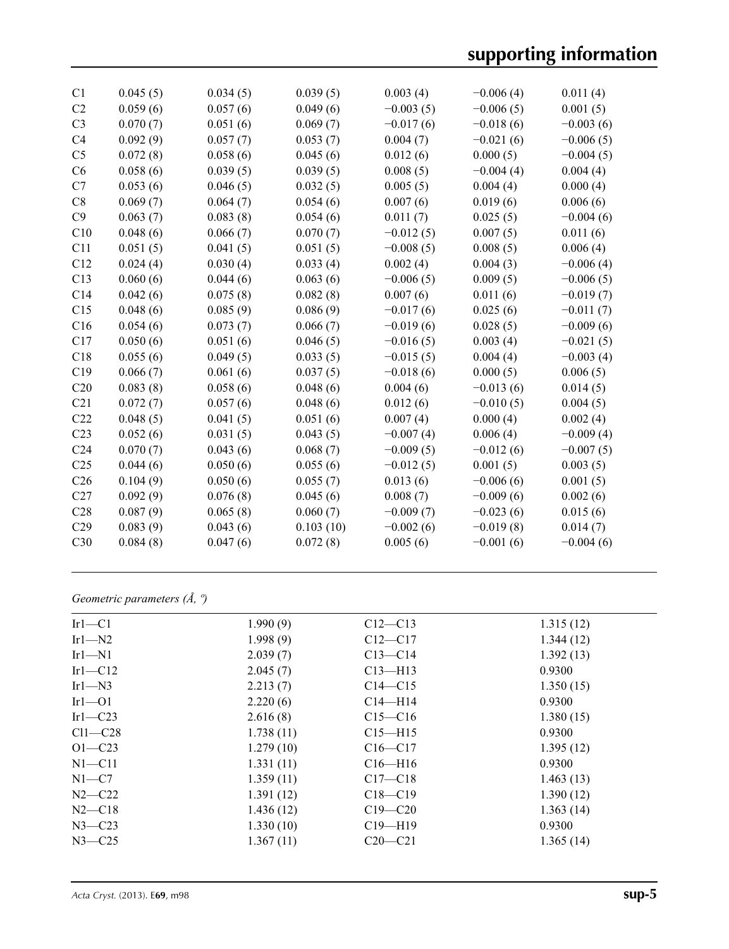| C1              | 0.045(5) | 0.034(5) | 0.039(5)  | 0.003(4)    | $-0.006(4)$ | 0.011(4)    |
|-----------------|----------|----------|-----------|-------------|-------------|-------------|
| C <sub>2</sub>  | 0.059(6) | 0.057(6) | 0.049(6)  | $-0.003(5)$ | $-0.006(5)$ | 0.001(5)    |
| C <sub>3</sub>  | 0.070(7) | 0.051(6) | 0.069(7)  | $-0.017(6)$ | $-0.018(6)$ | $-0.003(6)$ |
| C <sub>4</sub>  | 0.092(9) | 0.057(7) | 0.053(7)  | 0.004(7)    | $-0.021(6)$ | $-0.006(5)$ |
| C <sub>5</sub>  | 0.072(8) | 0.058(6) | 0.045(6)  | 0.012(6)    | 0.000(5)    | $-0.004(5)$ |
| C <sub>6</sub>  | 0.058(6) | 0.039(5) | 0.039(5)  | 0.008(5)    | $-0.004(4)$ | 0.004(4)    |
| C7              | 0.053(6) | 0.046(5) | 0.032(5)  | 0.005(5)    | 0.004(4)    | 0.000(4)    |
| C8              | 0.069(7) | 0.064(7) | 0.054(6)  | 0.007(6)    | 0.019(6)    | 0.006(6)    |
| C9              | 0.063(7) | 0.083(8) | 0.054(6)  | 0.011(7)    | 0.025(5)    | $-0.004(6)$ |
| C10             | 0.048(6) | 0.066(7) | 0.070(7)  | $-0.012(5)$ | 0.007(5)    | 0.011(6)    |
| C11             | 0.051(5) | 0.041(5) | 0.051(5)  | $-0.008(5)$ | 0.008(5)    | 0.006(4)    |
| C12             | 0.024(4) | 0.030(4) | 0.033(4)  | 0.002(4)    | 0.004(3)    | $-0.006(4)$ |
| C13             | 0.060(6) | 0.044(6) | 0.063(6)  | $-0.006(5)$ | 0.009(5)    | $-0.006(5)$ |
| C14             | 0.042(6) | 0.075(8) | 0.082(8)  | 0.007(6)    | 0.011(6)    | $-0.019(7)$ |
| C15             | 0.048(6) | 0.085(9) | 0.086(9)  | $-0.017(6)$ | 0.025(6)    | $-0.011(7)$ |
| C16             | 0.054(6) | 0.073(7) | 0.066(7)  | $-0.019(6)$ | 0.028(5)    | $-0.009(6)$ |
| C17             | 0.050(6) | 0.051(6) | 0.046(5)  | $-0.016(5)$ | 0.003(4)    | $-0.021(5)$ |
| C18             | 0.055(6) | 0.049(5) | 0.033(5)  | $-0.015(5)$ | 0.004(4)    | $-0.003(4)$ |
| C19             | 0.066(7) | 0.061(6) | 0.037(5)  | $-0.018(6)$ | 0.000(5)    | 0.006(5)    |
| C20             | 0.083(8) | 0.058(6) | 0.048(6)  | 0.004(6)    | $-0.013(6)$ | 0.014(5)    |
| C21             | 0.072(7) | 0.057(6) | 0.048(6)  | 0.012(6)    | $-0.010(5)$ | 0.004(5)    |
| C <sub>22</sub> | 0.048(5) | 0.041(5) | 0.051(6)  | 0.007(4)    | 0.000(4)    | 0.002(4)    |
| C <sub>23</sub> | 0.052(6) | 0.031(5) | 0.043(5)  | $-0.007(4)$ | 0.006(4)    | $-0.009(4)$ |
| C <sub>24</sub> | 0.070(7) | 0.043(6) | 0.068(7)  | $-0.009(5)$ | $-0.012(6)$ | $-0.007(5)$ |
| C <sub>25</sub> | 0.044(6) | 0.050(6) | 0.055(6)  | $-0.012(5)$ | 0.001(5)    | 0.003(5)    |
| C <sub>26</sub> | 0.104(9) | 0.050(6) | 0.055(7)  | 0.013(6)    | $-0.006(6)$ | 0.001(5)    |
| C27             | 0.092(9) | 0.076(8) | 0.045(6)  | 0.008(7)    | $-0.009(6)$ | 0.002(6)    |
| C28             | 0.087(9) | 0.065(8) | 0.060(7)  | $-0.009(7)$ | $-0.023(6)$ | 0.015(6)    |
| C29             | 0.083(9) | 0.043(6) | 0.103(10) | $-0.002(6)$ | $-0.019(8)$ | 0.014(7)    |
| C30             | 0.084(8) | 0.047(6) | 0.072(8)  | 0.005(6)    | $-0.001(6)$ | $-0.004(6)$ |
|                 |          |          |           |             |             |             |

*Geometric parameters (Å, º)*

| $Ir1-C1$   | 1.990(9)  | $C12 - C13$   | 1.315(12) |
|------------|-----------|---------------|-----------|
| Irl $-N2$  | 1.998(9)  | $C12 - C17$   | 1.344(12) |
| $Ir1-N1$   | 2.039(7)  | $C13 - C14$   | 1.392(13) |
| Irl $-C12$ | 2.045(7)  | $C13 - H13$   | 0.9300    |
| Irl $-M3$  | 2.213(7)  | $C14 - C15$   | 1.350(15) |
| $Ir1-01$   | 2.220(6)  | $C14 - H14$   | 0.9300    |
| Irl $-C23$ | 2.616(8)  | $C15 - C16$   | 1.380(15) |
| $Cl1-C28$  | 1.738(11) | $C15 - H15$   | 0.9300    |
| $O1 - C23$ | 1.279(10) | $C16 - C17$   | 1.395(12) |
| $N1 - C11$ | 1.331(11) | $C16$ —H $16$ | 0.9300    |
| $N1-C7$    | 1.359(11) | $C17 - C18$   | 1.463(13) |
| $N2-C22$   | 1.391(12) | $C18 - C19$   | 1.390(12) |
| $N2$ —C18  | 1.436(12) | $C19 - C20$   | 1.363(14) |
| $N3 - C23$ | 1.330(10) | $C19 - H19$   | 0.9300    |
| $N3 - C25$ | 1.367(11) | $C20-C21$     | 1.365(14) |
|            |           |               |           |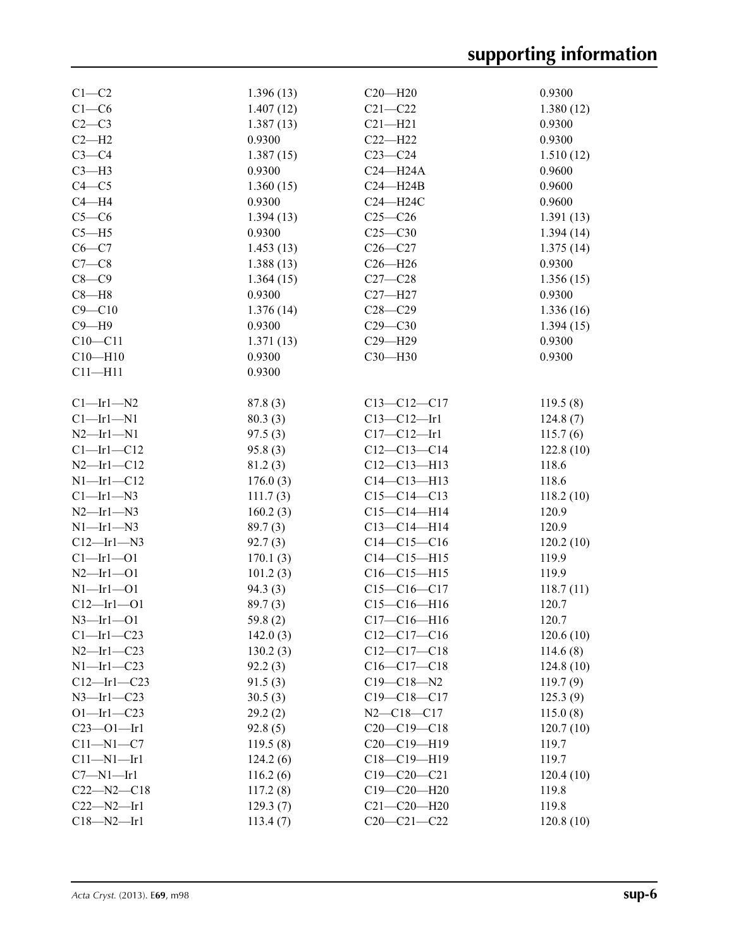| $C1-C2$          | 1.396(13) | $C20-H20$         | 0.9300    |
|------------------|-----------|-------------------|-----------|
| $C1-C6$          | 1.407(12) | $C21 - C22$       | 1.380(12) |
| $C2-C3$          | 1.387(13) | $C21 - H21$       | 0.9300    |
| $C2-H2$          | 0.9300    | $C22-H22$         | 0.9300    |
| $C3-C4$          | 1.387(15) | $C23-C24$         | 1.510(12) |
| $C3-H3$          | 0.9300    | $C24 - H24A$      | 0.9600    |
| $C4 - C5$        | 1.360(15) | $C24 - H24B$      | 0.9600    |
| $C4 - H4$        | 0.9300    | C24-H24C          | 0.9600    |
| $C5-C6$          | 1.394(13) | $C25 - C26$       | 1.391(13) |
| $C5 - H5$        | 0.9300    | $C25 - C30$       | 1.394(14) |
| $C6-C7$          | 1.453(13) | $C26-C27$         | 1.375(14) |
| $C7-C8$          | 1.388(13) | $C26 - H26$       | 0.9300    |
| $C8 - C9$        | 1.364(15) | $C27-C28$         | 1.356(15) |
| $C8 - H8$        | 0.9300    | $C27 - H27$       | 0.9300    |
| $C9 - C10$       | 1.376(14) | $C28 - C29$       | 1.336(16) |
| $C9 - H9$        | 0.9300    | $C29 - C30$       | 1.394(15) |
| $C10 - C11$      | 1.371(13) | C29-H29           | 0.9300    |
| $C10 - H10$      | 0.9300    | C30-H30           | 0.9300    |
| $C11 - H11$      | 0.9300    |                   |           |
|                  |           |                   |           |
| $Cl$ -Irl-N2     | 87.8(3)   | $C13-C12-C17$     | 119.5(8)  |
| $Cl - Ir1 - N1$  | 80.3(3)   | $C13 - C12 - Ir1$ | 124.8(7)  |
| $N2$ —Irl—N1     | 97.5(3)   | $C17 - C12 - Ir1$ | 115.7(6)  |
| $Cl$ -Irl-C12    | 95.8(3)   | $C12 - C13 - C14$ | 122.8(10) |
| $N2$ -Irl-C12    | 81.2(3)   | $C12 - C13 - H13$ | 118.6     |
| $N1$ -Irl-C12    | 176.0(3)  | $C14 - C13 - H13$ | 118.6     |
| $Cl$ -Irl-N3     | 111.7(3)  | $C15-C14-C13$     | 118.2(10) |
| $N2$ —Irl—N3     | 160.2(3)  | $C15-C14-H14$     | 120.9     |
| $N1$ —Irl—N3     | 89.7(3)   | $C13 - C14 - H14$ | 120.9     |
| $C12$ —Irl—N3    | 92.7(3)   | $C14 - C15 - C16$ | 120.2(10) |
| Cl—Ir1—O1        | 170.1(3)  | $C14 - C15 - H15$ | 119.9     |
| $N2 - Ir1 - O1$  | 101.2(3)  | $C16-C15-H15$     | 119.9     |
| $N1$ —Irl—O1     | 94.3(3)   | $C15-C16-C17$     | 118.7(11) |
| $C12 - Ir1 - O1$ | 89.7(3)   | $C15-C16-H16$     | 120.7     |
| $N3$ —Irl—O1     | 59.8(2)   | $C17 - C16 - H16$ | 120.7     |
| $Cl$ -Irl-C23    | 142.0(3)  | $C12-C17-C16$     | 120.6(10) |
| $N2$ -Irl-C23    | 130.2(3)  | $C12-C17-C18$     | 114.6(8)  |
| $N1$ —Irl—C23    | 92.2(3)   | $C16-C17-C18$     | 124.8(10) |
| $C12$ —Irl—C23   | 91.5(3)   | $C19 - C18 - N2$  | 119.7(9)  |
| $N3$ —Irl—C23    | 30.5(3)   | $C19 - C18 - C17$ | 125.3(9)  |
| $O1 - Ir1 - C23$ | 29.2(2)   | $N2 - C18 - C17$  | 115.0(8)  |
| $C23 - 01 - Ir1$ | 92.8(5)   | $C20-C19-C18$     | 120.7(10) |
| $C11 - N1 - C7$  | 119.5(8)  | C20-C19-H19       | 119.7     |
| $C11 - N1 - Ir1$ | 124.2(6)  | C18-C19-H19       | 119.7     |
| $C7 - N1 - Ir1$  | 116.2(6)  | $C19 - C20 - C21$ | 120.4(10) |
| $C22 - N2 - C18$ | 117.2(8)  | $C19 - C20 - H20$ | 119.8     |
| $C22-M2-Ir1$     | 129.3(7)  | $C21 - C20 - H20$ | 119.8     |
| $C18 - N2 - Ir1$ | 113.4(7)  | $C20-C21-C22$     | 120.8(10) |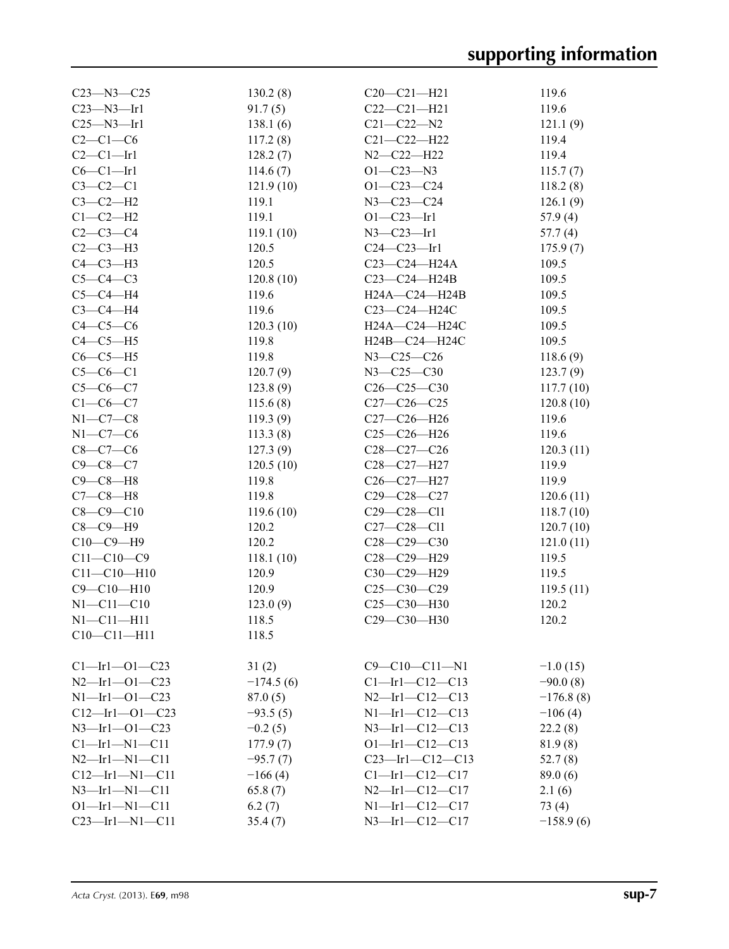| $C23 - N3 - C25$      | 130.2(8)    | $C20-C21-H21$          | 119.6       |
|-----------------------|-------------|------------------------|-------------|
| $C23 - N3 - Ir1$      | 91.7(5)     | $C22-C21-H21$          | 119.6       |
| $C25 - N3 - Ir1$      | 138.1(6)    | $C21 - C22 - N2$       | 121.1(9)    |
| $C2-C1-C6$            | 117.2(8)    | $C21 - C22 - H22$      | 119.4       |
| $C2-C1-Ir1$           | 128.2(7)    | $N2 - C22 - H22$       | 119.4       |
| $C6-C1-Ir1$           | 114.6(7)    | $O1 - C23 - N3$        | 115.7(7)    |
| $C3-C2-C1$            | 121.9(10)   | $O1 - C23 - C24$       | 118.2(8)    |
| $C3-C2-H2$            | 119.1       | $N3 - C23 - C24$       | 126.1(9)    |
| $C1-C2-H2$            | 119.1       | $O1 - C23 - Ir1$       | 57.9(4)     |
| $C2 - C3 - C4$        | 119.1(10)   | $N3 - C23 - Ir1$       | 57.7(4)     |
| $C2-C3-H3$            | 120.5       | $C24 - C23 - Ir1$      | 175.9(7)    |
| $C4-C3-H3$            | 120.5       | C23-C24-H24A           | 109.5       |
| $C5-C4-C3$            | 120.8(10)   | $C23-C24-H24B$         | 109.5       |
| $C5-C4-H4$            | 119.6       | H24A-C24-H24B          | 109.5       |
| $C3-C4-H4$            | 119.6       | C23-C24-H24C           | 109.5       |
| $C4-C5-C6$            | 120.3(10)   | H24A-C24-H24C          | 109.5       |
| $C4-C5-H5$            |             |                        | 109.5       |
|                       | 119.8       | H24B-C24-H24C          |             |
| $C6-C5-H5$            | 119.8       | $N3 - C25 - C26$       | 118.6(9)    |
| $C5-C6-C1$            | 120.7(9)    | $N3 - C25 - C30$       | 123.7(9)    |
| $C5-C6-C7$            | 123.8(9)    | $C26 - C25 - C30$      | 117.7(10)   |
| $C1 - C6 - C7$        | 115.6(8)    | $C27-C26-C25$          | 120.8(10)   |
| $N1-C7-C8$            | 119.3(9)    | $C27-C26 - H26$        | 119.6       |
| $N1-C7-C6$            | 113.3(8)    | $C25-C26-H26$          | 119.6       |
| $C8 - C7 - C6$        | 127.3(9)    | $C28 - C27 - C26$      | 120.3(11)   |
| $C9 - C8 - C7$        | 120.5(10)   | C28-C27-H27            | 119.9       |
| $C9-C8-H8$            | 119.8       | $C26-C27-H27$          | 119.9       |
| $C7-C8-H8$            | 119.8       | $C29 - C28 - C27$      | 120.6(11)   |
| $C8 - C9 - C10$       | 119.6(10)   | $C29 - C28 - C11$      | 118.7(10)   |
| $C8 - C9 - H9$        | 120.2       | $C27 - C28 - C11$      | 120.7(10)   |
| $C10-C9-H9$           | 120.2       | $C28 - C29 - C30$      | 121.0(11)   |
| $C11 - C10 - C9$      | 118.1(10)   | C28-C29-H29            | 119.5       |
| $C11 - C10 - H10$     | 120.9       | C30-C29-H29            | 119.5       |
| $C9 - C10 - H10$      | 120.9       | $C25-C30-C29$          | 119.5(11)   |
| $N1 - C11 - C10$      | 123.0(9)    | C25-C30-H30            | 120.2       |
| $N1 - C11 - H11$      | 118.5       | C29-C30-H30            | 120.2       |
| $C10 - C11 - H11$     | 118.5       |                        |             |
|                       |             |                        |             |
| $Cl$ —Irl—O1—C23      | 31(2)       | $C9 - C10 - C11 - N1$  | $-1.0(15)$  |
| $N2$ -Irl-Ol-C23      | $-174.5(6)$ | $Cl$ -Irl-Cl2-Cl3      | $-90.0(8)$  |
| $N1 - Ir1 - O1 - C23$ | 87.0(5)     | $N2$ —Irl—C12—C13      | $-176.8(8)$ |
| $C12$ -Irl-01-C23     | $-93.5(5)$  | $N1 - Ir1 - C12 - C13$ | $-106(4)$   |
| $N3$ —Irl—Ol—C23      | $-0.2(5)$   | $N3$ -Irl-C12-C13      | 22.2(8)     |
| $Cl$ -Irl-Nl-Cll      | 177.9(7)    | $O1$ -Irl-C12-C13      | 81.9 (8)    |
| $N2$ -Irl-Nl-Cll      | $-95.7(7)$  | $C23$ -Irl-C12-C13     | 52.7(8)     |
| $C12$ —Irl—N1—C11     | $-166(4)$   | $Cl$ —Irl—C12—C17      | 89.0(6)     |
| $N3$ —Irl—Nl—Cl1      | 65.8(7)     | $N2$ —Irl—C12—C17      | 2.1(6)      |
| $O1 - Ir1 - N1 - C11$ | 6.2(7)      | $N1$ —Irl—C12—C17      | 73 (4)      |
| $C23$ -Irl-N1-C11     | 35.4(7)     | $N3$ -Irl-C12-C17      | $-158.9(6)$ |
|                       |             |                        |             |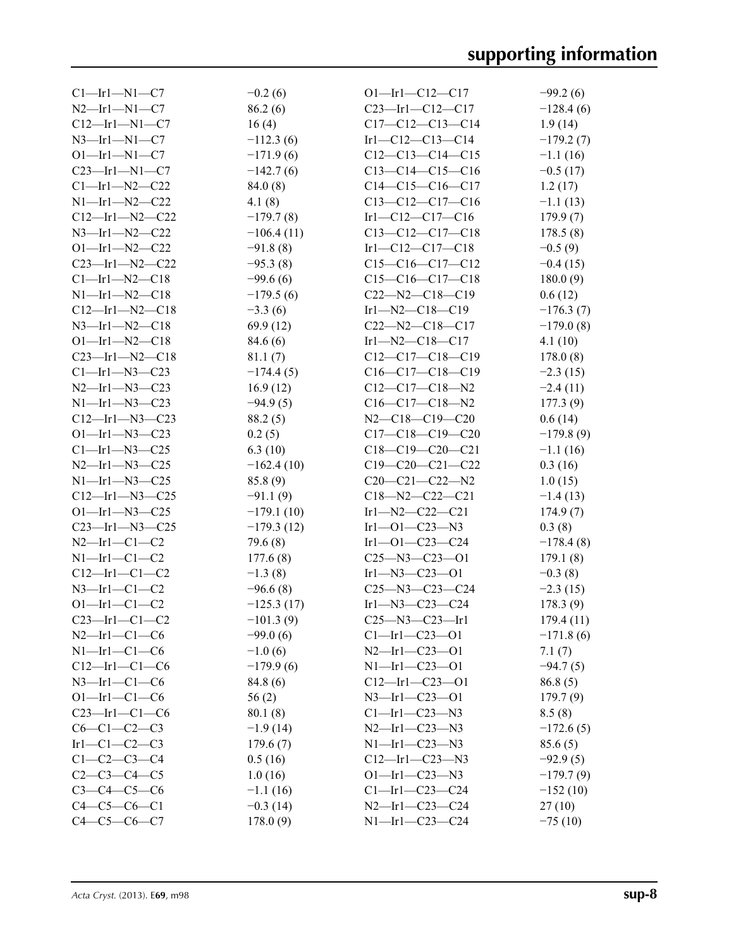| $Cl$ —Irl—Nl—C7      | $-0.2(6)$    | $O1$ -Irl-C12-C17                                     | $-99.2(6)$              |
|----------------------|--------------|-------------------------------------------------------|-------------------------|
| $N2$ —Irl—Nl—C7      | 86.2(6)      | $C23$ —Irl—C12—C17                                    | $-128.4(6)$             |
| $C12$ —Irl—Nl—C7     | 16(4)        | $C17-C12-C13-C14$                                     | 1.9(14)                 |
| $N3$ —Irl—N1—C7      | $-112.3(6)$  | Irl—C12—C13—C14                                       | $-179.2(7)$             |
| $O1$ -Irl-N1-C7      | $-171.9(6)$  | $C12-C13-C14-C15$                                     | $-1.1(16)$              |
| $C23$ —Irl—N1—C7     | $-142.7(6)$  | $C13-C14-C15-C16$                                     | $-0.5(17)$              |
| $Cl$ -Irl-N2-C22     | 84.0(8)      | $C14-C15-C16-C17$                                     | 1.2(17)                 |
| $N1$ —Irl—N2—C22     | 4.1(8)       | $C13-C12-C17-C16$                                     | $-1.1(13)$              |
| $C12$ —Irl—N2—C22    | $-179.7(8)$  | $Ir1-C12-C17-C16$                                     | 179.9(7)                |
| $N3$ —Irl—N2—C22     | $-106.4(11)$ | $C13-C12-C17-C18$                                     | 178.5(8)                |
| $O1$ —Ir1—N2—C22     | $-91.8(8)$   | $Ir1-C12-C17-C18$                                     | $-0.5(9)$               |
| $C23$ —Irl—N2—C22    | $-95.3(8)$   | $C15-C16-C17-C12$                                     | $-0.4(15)$              |
| $Cl$ —Irl—N2—C18     | $-99.6(6)$   | $C15-C16-C17-C18$                                     | 180.0(9)                |
| $N1$ —Irl—N2—C18     | $-179.5(6)$  | $C22 - N2 - C18 - C19$                                | 0.6(12)                 |
| $C12$ —Irl—N2—C18    | $-3.3(6)$    | $Ir1 - N2 - C18 - C19$                                | $-176.3(7)$             |
| $N3$ —Irl—N2—C18     | 69.9 (12)    | $C22 - N2 - C18 - C17$                                | $-179.0(8)$             |
| $O1$ —Irl—N2—C18     | 84.6 (6)     | Irl—N2—C18—C17                                        | 4.1(10)                 |
| $C23$ —Irl—N2—C18    | 81.1(7)      | $C12-C17-C18-C19$                                     | 178.0(8)                |
| $Cl$ —Irl—N3—C23     | $-174.4(5)$  | $C16-C17-C18-C19$                                     | $-2.3(15)$              |
| $N2$ —Ir1—N3—C23     | 16.9(12)     | $C12-C17-C18-N2$                                      | $-2.4(11)$              |
| $N1$ —Irl—N3—C23     | $-94.9(5)$   | $C16-C17-C18-N2$                                      | 177.3(9)                |
| $C12$ —Irl—N3—C23    | 88.2(5)      | $N2-C18-C19-C20$                                      | 0.6(14)                 |
| $O1$ —Irl—N3—C23     | 0.2(5)       | $C17-C18-C19-C20$                                     | $-179.8(9)$             |
| $Cl$ —Irl—N3—C25     | 6.3(10)      | $C18-C19-C20-C21$                                     | $-1.1(16)$              |
| $N2$ —Ir1—N3—C25     | $-162.4(10)$ | $C19-C20-C21-C22$                                     | 0.3(16)                 |
| $N1$ —Irl—N3—C25     | 85.8 (9)     | $C20-C21-C22-N2$                                      | 1.0(15)                 |
| $C12$ —Irl—N3—C25    | $-91.1(9)$   | $C18 - N2 - C22 - C21$                                |                         |
| $O1$ —Irl—N3—C25     | $-179.1(10)$ | $Ir1-N2-C22-C21$                                      | $-1.4(13)$<br>174.9(7)  |
| $C23$ —Irl—N3—C25    | $-179.3(12)$ | Irl $-$ Ol $-$ C23 $-$ N3                             | 0.3(8)                  |
| $N2$ —Irl—Cl—C2      | 79.6 (8)     |                                                       |                         |
| $N1$ —Irl—Cl—C2      | 177.6(8)     | $Ir1$ —O $1$ —C $23$ —C $24$<br>$C25 - N3 - C23 - O1$ | $-178.4(8)$<br>179.1(8) |
|                      |              |                                                       |                         |
| $C12$ —Irl—Cl—C2     | $-1.3(8)$    | $Ir1 - N3 - C23 - O1$                                 | $-0.3(8)$               |
| $N3$ —Irl—Cl—C2      | $-96.6(8)$   | $C25 - N3 - C23 - C24$                                | $-2.3(15)$              |
| $O1 - Ir1 - C1 - C2$ | $-125.3(17)$ | $Ir1$ —N3—C23—C24                                     | 178.3(9)                |
| $C23$ —Irl—Cl—C2     | $-101.3(9)$  | $C25 - N3 - C23 - Ir1$                                | 179.4(11)               |
| $N2$ -Irl-Cl-C6      | $-99.0(6)$   | $Cl$ —Irl—C23—O1                                      | $-171.8(6)$             |
| $N1$ -Irl-Cl-C6      | $-1.0(6)$    | $N2$ —Irl—C23—O1                                      | 7.1(7)                  |
| $C12$ —Irl—Cl—C6     | $-179.9(6)$  | $N1$ —Ir $1$ —C23—O1                                  | $-94.7(5)$              |
| $N3$ —Irl—Cl—C6      | 84.8 (6)     | $C12$ —Irl—C23—O1                                     | 86.8(5)                 |
| $O1$ —Irl—Cl—C6      | 56(2)        | $N3$ —Irl—C23—O1                                      | 179.7(9)                |
| $C23$ —Irl—Cl—C6     | 80.1(8)      | $Cl$ —Irl—C23—N3                                      | 8.5(8)                  |
| $C6-C1-C2-C3$        | $-1.9(14)$   | $N2$ -Irl-C23-N3                                      | $-172.6(5)$             |
| $Ir1-C1-C2-C3$       | 179.6(7)     | $N1$ —Ir1—C23—N3                                      | 85.6(5)                 |
| $C1-C2-C3-C4$        | 0.5(16)      | $C12$ —Irl—C23—N3                                     | $-92.9(5)$              |
| $C2-C3-C4-C5$        | 1.0(16)      | $O1$ —Ir1—C23—N3                                      | $-179.7(9)$             |
| $C3 - C4 - C5 - C6$  | $-1.1(16)$   | $Cl$ -Irl-C23-C24                                     | $-152(10)$              |
| $C4 - C5 - C6 - C1$  | $-0.3(14)$   | $N2$ —Irl—C23—C24                                     | 27(10)                  |
| $C4 - C5 - C6 - C7$  | 178.0(9)     | $N1 - Ir1 - C23 - C24$                                | $-75(10)$               |